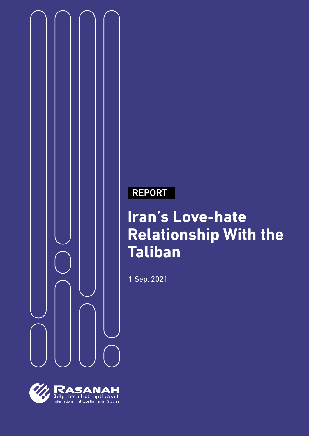

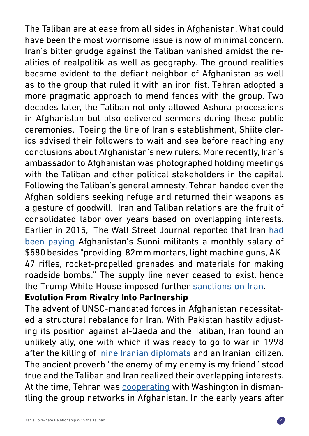The Taliban are at ease from all sides in Afghanistan. What could have been the most worrisome issue is now of minimal concern. Iran's bitter grudge against the Taliban vanished amidst the realities of realpolitik as well as geography. The ground realities became evident to the defiant neighbor of Afghanistan as well as to the group that ruled it with an iron fist. Tehran adopted a more pragmatic approach to mend fences with the group. Two decades later, the Taliban not only allowed Ashura processions in Afghanistan but also delivered sermons during these public ceremonies. Toeing the line of Iran's establishment, Shiite clerics advised their followers to wait and see before reaching any conclusions about Afghanistan's new rulers. More recently, Iran's ambassador to Afghanistan was photographed holding meetings with the Taliban and other political stakeholders in the capital. Following the Taliban's general amnesty, Tehran handed over the Afghan soldiers seeking refuge and returned their weapons as a gesture of goodwill. Iran and Taliban relations are the fruit of consolidated labor over years based on overlapping interests. Earlier in 2015, The Wall Street Journal reported that Iran [had](https://www.wsj.com/articles/iran-backs-taliban-with-cash-and-arms-1434065528) [been paying](https://www.wsj.com/articles/iran-backs-taliban-with-cash-and-arms-1434065528) Afghanistan's Sunni militants a monthly salary of \$580 besides "providing 82mm mortars, light machine guns, AK-47 rifles, rocket-propelled grenades and materials for making roadside bombs." The supply line never ceased to exist, hence the Trump White House imposed further [sanctions](https://www.dw.com/en/iranian-support-of-afghan-taliban-targeted-by-new-us-sanctions/a-46045198) on Iran.

## **Evolution From Rivalry Into Partnership**

The advent of UNSC-mandated forces in Afghanistan necessitated a structural rebalance for Iran. With Pakistan hastily adjusting its position against al-Qaeda and the Taliban, Iran found an unlikely ally, one with which it was ready to go to war in 1998 after the killing of [nine Iranian diplomats](https://www.hrw.org/legacy/reports98/afghan/Afrepor0.htm) and an Iranian citizen. The ancient proverb "the enemy of my enemy is my friend" stood true and the Taliban and Iran realized their overlapping interests. At the time, Tehran was [cooperating](https://www.files.ethz.ch/isn/93911/Audit_10_08_Rubin.pdf) with Washington in dismantling the group networks in Afghanistan. In the early years after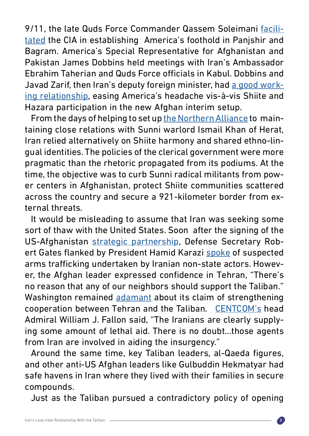9/11, the late Quds Force Commander Qassem Soleimani [facili](https://www.washingtonpost.com/politics/2020/01/03/when-united-states-qasem-soleimani-worked-together/)[tated](https://www.washingtonpost.com/politics/2020/01/03/when-united-states-qasem-soleimani-worked-together/) the CIA in establishing America's foothold in Panjshir and Bagram. America's Special Representative for Afghanistan and Pakistan James Dobbins held meetings with Iran's Ambassador Ebrahim Taherian and Quds Force officials in Kabul. Dobbins and Javad Zarif, then Iran's deputy foreign minister, had [a good work](https://iranprimer.usip.org/resource/engaging-iran)[ing relationship,](https://iranprimer.usip.org/resource/engaging-iran) easing America's headache vis-à-vis Shiite and Hazara participation in the new Afghan interim setup.

From the days of helping to set up [the Northern Alliance](https://www.files.ethz.ch/isn/93911/Audit_10_08_Rubin.pdf) to maintaining close relations with Sunni warlord Ismail Khan of Herat, Iran relied alternatively on Shiite harmony and shared ethno-lingual identities. The policies of the clerical government were more pragmatic than the rhetoric propagated from its podiums. At the time, the objective was to curb Sunni radical militants from power centers in Afghanistan, protect Shiite communities scattered across the country and secure a 921-kilometer border from external threats.

It would be misleading to assume that Iran was seeking some sort of thaw with the United States. Soon after the signing of the US-Afghanistan [strategic partnership,](https://2001-2009.state.gov/p/sca/rls/pr/2005/46628.htm) Defense Secretary Robert Gates flanked by President Hamid Karazi [spoke](https://www.nytimes.com/2007/06/04/world/africa/04iht-gates.1.5986100.html) of suspected arms trafficking undertaken by Iranian non-state actors. However, the Afghan leader expressed confidence in Tehran, "There's no reason that any of our neighbors should support the Taliban." Washington remained [adamant](https://www.nytimes.com/2007/06/14/world/middleeast/14gates.html) about its claim of strengthening cooperation between Tehran and the Taliban. [CENTCOM's](https://www.latimes.com/archives/la-xpm-2007-sep-22-fg-afghan22-story.html) head Admiral William J. Fallon said, "The Iranians are clearly supplying some amount of lethal aid. There is no doubt...those agents from Iran are involved in aiding the insurgency."

Around the same time, key Taliban leaders, al-Qaeda figures, and other anti-US Afghan leaders like Gulbuddin Hekmatyar had safe havens in Iran where they lived with their families in secure compounds.

Just as the Taliban pursued a contradictory policy of opening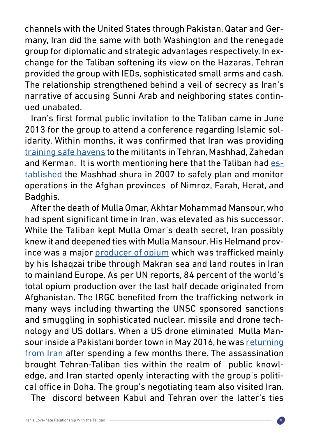channels with the United States through Pakistan, Qatar and Germany, Iran did the same with both Washington and the renegade group for diplomatic and strategic advantages respectively. In exchange for the Taliban softening its view on the Hazaras, Tehran provided the group with IEDs, sophisticated small arms and cash. The relationship strengthened behind a veil of secrecy as Iran's narrative of accusing Sunni Arab and neighboring states continued unabated.

Iran's first formal public invitation to the Taliban came in June 2013 for the group to attend a conference regarding Islamic solidarity. Within months, it was confirmed that Iran was providing [training safe havens](https://www.wsj.com/articles/iran-backs-taliban-with-cash-and-arms-1434065528) to the militants in Tehran, Mashhad, Zahedan and Kerman. It is worth mentioning here that the Taliban had **es**tablished the Mashhad shura in 2007 to safely plan and monitor operations in the Afghan provinces of Nimroz, Farah, Herat, and Badghis.

After the death of Mulla Omar, Akhtar Mohammad Mansour, who had spent significant time in Iran, was elevated as his successor. While the Taliban kept Mulla Omar's death secret, Iran possibly knew it and deepened ties with Mulla Mansour. His Helmand province was a major [producer of opium](https://www.dw.com/en/afghan-opium-production-up-nearly-half-un-says/a-36126009) which was trafficked mainly by his Ishaqzai tribe through Makran sea and land routes in Iran to mainland Europe. As per UN reports, 84 percent of the world's total opium production over the last half decade originated from Afghanistan. The IRGC benefited from the trafficking network in many ways including thwarting the UNSC sponsored sanctions and smuggling in sophisticated nuclear, missile and drone technology and US dollars. When a US drone eliminated Mulla Mansour inside a Pakistani border town in May 2016, he was [returning](https://www.wsj.com/articles/u-s-tracked-taliban-leader-before-drone-strike-1464109562) [from Iran](https://www.wsj.com/articles/u-s-tracked-taliban-leader-before-drone-strike-1464109562) after spending a few months there. The assassination brought Tehran-Taliban ties within the realm of public knowledge, and Iran started openly interacting with the group's political office in Doha. The group's negotiating team also visited Iran.

The discord between Kabul and Tehran over the latter's ties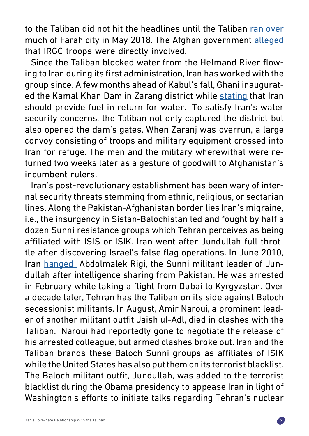to the Taliban did not hit the headlines until the Taliban [ran over](https://www.nytimes.com/2018/05/16/world/asia/taliban-farah-afghanistan.html) much of Farah city in May 2018. The Afghan government [alleged](https://www.voanews.com/extremism-watch/did-iran-have-anything-do-farahs-attack) that IRGC troops were directly involved.

Since the Taliban blocked water from the Helmand River flowing to Iran during its first administration, Iran has worked with the group since. A few months ahead of Kabul's fall, Ghani inaugurated the Kamal Khan Dam in Zarang district while [stating](https://pajhwok.com/2021/03/24/afghanistan-no-longer-relinquish-free-water-ghani/) that Iran should provide fuel in return for water. To satisfy Iran's water security concerns, the Taliban not only captured the district but also opened the dam's gates. When Zaranj was overrun, a large convoy consisting of troops and military equipment crossed into Iran for refuge. The men and the military wherewithal were returned two weeks later as a gesture of goodwill to Afghanistan's incumbent rulers.

Iran's post-revolutionary establishment has been wary of internal security threats stemming from ethnic, religious, or sectarian lines. Along the Pakistan-Afghanistan border lies Iran's migraine, i.e., the insurgency in Sistan-Balochistan led and fought by half a dozen Sunni resistance groups which Tehran perceives as being affiliated with ISIS or ISIK. Iran went after Jundullah full throttle after discovering Israel's false flag operations. In June 2010, Iran [hanged](https://www.bbc.com/news/10359415) Abdolmalek Rigi, the Sunni militant leader of Jundullah after intelligence sharing from Pakistan. He was arrested in February while taking a flight from Dubai to Kyrgyzstan. Over a decade later, Tehran has the Taliban on its side against Baloch secessionist militants. In August, Amir Naroui, a prominent leader of another militant outfit Jaish ul-Adl, died in clashes with the Taliban. Naroui had reportedly gone to negotiate the release of his arrested colleague, but armed clashes broke out. Iran and the Taliban brands these Baloch Sunni groups as affiliates of ISIK while the United States has also put them on its terrorist blacklist. The Baloch militant outfit, Jundullah, was added to the terrorist blacklist during the Obama presidency to appease Iran in light of Washington's efforts to initiate talks regarding Tehran's nuclear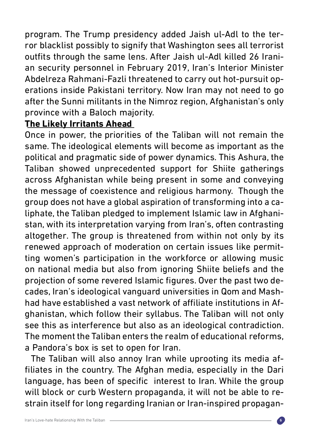program. The Trump presidency added Jaish ul-Adl to the terror blacklist possibly to signify that Washington sees all terrorist outfits through the same lens. After Jaish ul-Adl killed 26 Iranian security personnel in February 2019, Iran's Interior Minister Abdelreza Rahmani-Fazli threatened to carry out hot-pursuit operations inside Pakistani territory. Now Iran may not need to go after the Sunni militants in the Nimroz region, Afghanistan's only province with a Baloch majority.

## **The Likely Irritants Ahead**

Once in power, the priorities of the Taliban will not remain the same. The ideological elements will become as important as the political and pragmatic side of power dynamics. This Ashura, the Taliban showed unprecedented support for Shiite gatherings across Afghanistan while being present in some and conveying the message of coexistence and religious harmony. Though the group does not have a global aspiration of transforming into a caliphate, the Taliban pledged to implement Islamic law in Afghanistan, with its interpretation varying from Iran's, often contrasting altogether. The group is threatened from within not only by its renewed approach of moderation on certain issues like permitting women's participation in the workforce or allowing music on national media but also from ignoring Shiite beliefs and the projection of some revered Islamic figures. Over the past two decades, Iran's ideological vanguard universities in Qom and Mashhad have established a vast network of affiliate institutions in Afghanistan, which follow their syllabus. The Taliban will not only see this as interference but also as an ideological contradiction. The moment the Taliban enters the realm of educational reforms, a Pandora's box is set to open for Iran.

The Taliban will also annoy Iran while uprooting its media affiliates in the country. The Afghan media, especially in the Dari language, has been of specific interest to Iran. While the group will block or curb Western propaganda, it will not be able to restrain itself for long regarding Iranian or Iran-inspired propagan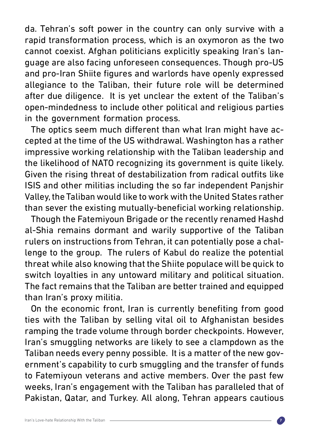da. Tehran's soft power in the country can only survive with a rapid transformation process, which is an oxymoron as the two cannot coexist. Afghan politicians explicitly speaking Iran's language are also facing unforeseen consequences. Though pro-US and pro-Iran Shiite figures and warlords have openly expressed allegiance to the Taliban, their future role will be determined after due diligence. It is yet unclear the extent of the Taliban's open-mindedness to include other political and religious parties in the government formation process.

The optics seem much different than what Iran might have accepted at the time of the US withdrawal. Washington has a rather impressive working relationship with the Taliban leadership and the likelihood of NATO recognizing its government is quite likely. Given the rising threat of destabilization from radical outfits like ISIS and other militias including the so far independent Panjshir Valley, the Taliban would like to work with the United States rather than sever the existing mutually-beneficial working relationship.

Though the Fatemiyoun Brigade or the recently renamed Hashd al-Shia remains dormant and warily supportive of the Taliban rulers on instructions from Tehran, it can potentially pose a challenge to the group. The rulers of Kabul do realize the potential threat while also knowing that the Shiite populace will be quick to switch loyalties in any untoward military and political situation. The fact remains that the Taliban are better trained and equipped than Iran's proxy militia.

On the economic front, Iran is currently benefiting from good ties with the Taliban by selling vital oil to Afghanistan besides ramping the trade volume through border checkpoints. However, Iran's smuggling networks are likely to see a clampdown as the Taliban needs every penny possible. It is a matter of the new government's capability to curb smuggling and the transfer of funds to Fatemiyoun veterans and active members. Over the past few weeks, Iran's engagement with the Taliban has paralleled that of Pakistan, Qatar, and Turkey. All along, Tehran appears cautious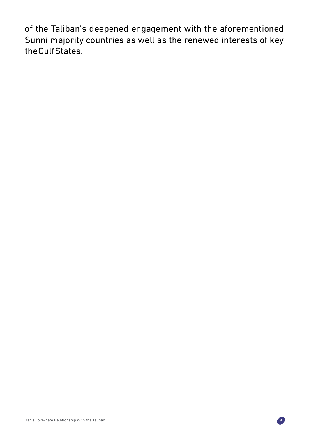of the Taliban's deepened engagement with the aforementioned Sunni majority countries as well as the renewed interests of key the Gulf States.